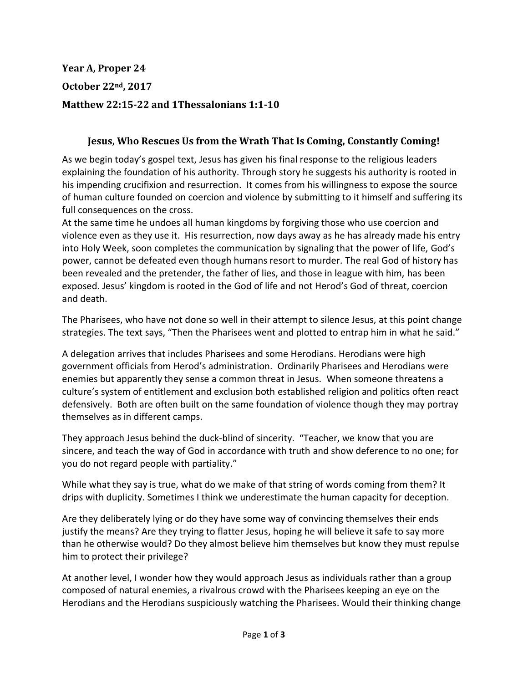**Year A, Proper 24 October 22nd, 2017 Matthew 22:15-22 and 1Thessalonians 1:1-10**

## **Jesus, Who Rescues Us from the Wrath That Is Coming, Constantly Coming!**

As we begin today's gospel text, Jesus has given his final response to the religious leaders explaining the foundation of his authority. Through story he suggests his authority is rooted in his impending crucifixion and resurrection. It comes from his willingness to expose the source of human culture founded on coercion and violence by submitting to it himself and suffering its full consequences on the cross.

At the same time he undoes all human kingdoms by forgiving those who use coercion and violence even as they use it. His resurrection, now days away as he has already made his entry into Holy Week, soon completes the communication by signaling that the power of life, God's power, cannot be defeated even though humans resort to murder. The real God of history has been revealed and the pretender, the father of lies, and those in league with him, has been exposed. Jesus' kingdom is rooted in the God of life and not Herod's God of threat, coercion and death.

The Pharisees, who have not done so well in their attempt to silence Jesus, at this point change strategies. The text says, "Then the Pharisees went and plotted to entrap him in what he said."

A delegation arrives that includes Pharisees and some Herodians. Herodians were high government officials from Herod's administration. Ordinarily Pharisees and Herodians were enemies but apparently they sense a common threat in Jesus. When someone threatens a culture's system of entitlement and exclusion both established religion and politics often react defensively. Both are often built on the same foundation of violence though they may portray themselves as in different camps.

They approach Jesus behind the duck-blind of sincerity. "Teacher, we know that you are sincere, and teach the way of God in accordance with truth and show deference to no one; for you do not regard people with partiality."

While what they say is true, what do we make of that string of words coming from them? It drips with duplicity. Sometimes I think we underestimate the human capacity for deception.

Are they deliberately lying or do they have some way of convincing themselves their ends justify the means? Are they trying to flatter Jesus, hoping he will believe it safe to say more than he otherwise would? Do they almost believe him themselves but know they must repulse him to protect their privilege?

At another level, I wonder how they would approach Jesus as individuals rather than a group composed of natural enemies, a rivalrous crowd with the Pharisees keeping an eye on the Herodians and the Herodians suspiciously watching the Pharisees. Would their thinking change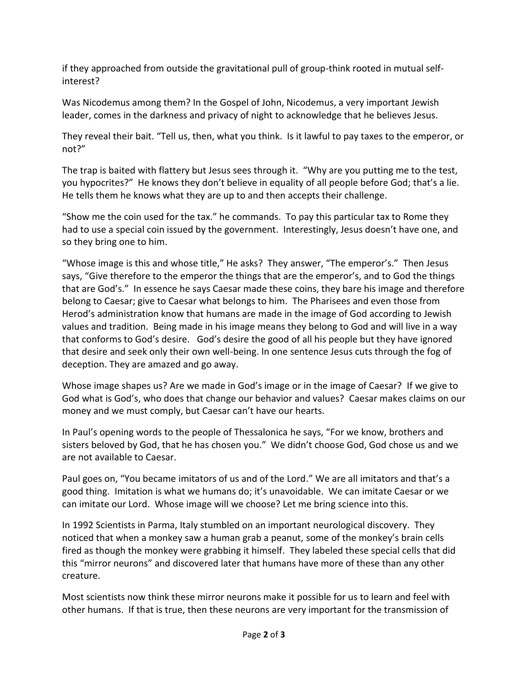if they approached from outside the gravitational pull of group-think rooted in mutual selfinterest?

Was Nicodemus among them? In the Gospel of John, Nicodemus, a very important Jewish leader, comes in the darkness and privacy of night to acknowledge that he believes Jesus.

They reveal their bait. "Tell us, then, what you think. Is it lawful to pay taxes to the emperor, or not?"

The trap is baited with flattery but Jesus sees through it. "Why are you putting me to the test, you hypocrites?" He knows they don't believe in equality of all people before God; that's a lie. He tells them he knows what they are up to and then accepts their challenge.

"Show me the coin used for the tax." he commands. To pay this particular tax to Rome they had to use a special coin issued by the government. Interestingly, Jesus doesn't have one, and so they bring one to him.

"Whose image is this and whose title," He asks? They answer, "The emperor's." Then Jesus says, "Give therefore to the emperor the things that are the emperor's, and to God the things that are God's." In essence he says Caesar made these coins, they bare his image and therefore belong to Caesar; give to Caesar what belongs to him. The Pharisees and even those from Herod's administration know that humans are made in the image of God according to Jewish values and tradition. Being made in his image means they belong to God and will live in a way that conforms to God's desire. God's desire the good of all his people but they have ignored that desire and seek only their own well-being. In one sentence Jesus cuts through the fog of deception. They are amazed and go away.

Whose image shapes us? Are we made in God's image or in the image of Caesar? If we give to God what is God's, who does that change our behavior and values? Caesar makes claims on our money and we must comply, but Caesar can't have our hearts.

In Paul's opening words to the people of Thessalonica he says, "For we know, brothers and sisters beloved by God, that he has chosen you." We didn't choose God, God chose us and we are not available to Caesar.

Paul goes on, "You became imitators of us and of the Lord." We are all imitators and that's a good thing. Imitation is what we humans do; it's unavoidable. We can imitate Caesar or we can imitate our Lord. Whose image will we choose? Let me bring science into this.

In 1992 Scientists in Parma, Italy stumbled on an important neurological discovery. They noticed that when a monkey saw a human grab a peanut, some of the monkey's brain cells fired as though the monkey were grabbing it himself. They labeled these special cells that did this "mirror neurons" and discovered later that humans have more of these than any other creature.

Most scientists now think these mirror neurons make it possible for us to learn and feel with other humans. If that is true, then these neurons are very important for the transmission of